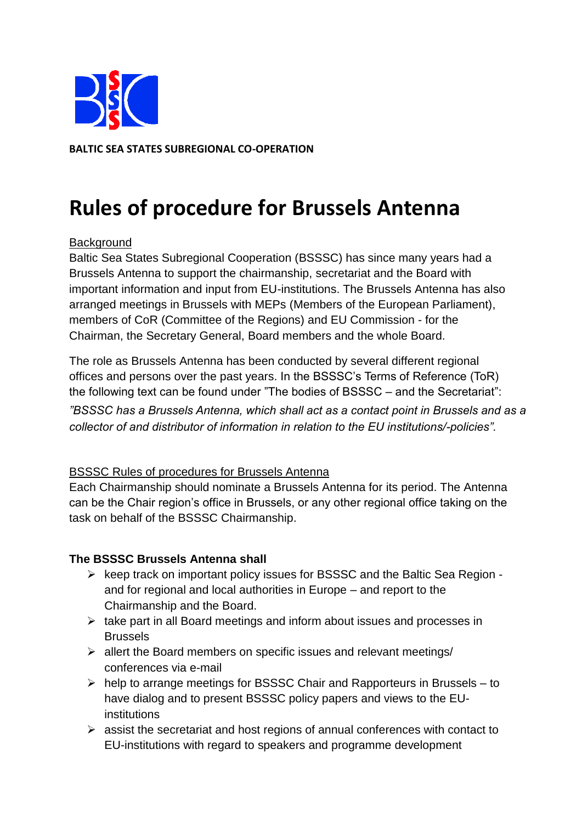

**BALTIC SEA STATES SUBREGIONAL CO-OPERATION** 

# **Rules of procedure for Brussels Antenna**

## **Background**

Baltic Sea States Subregional Cooperation (BSSSC) has since many years had a Brussels Antenna to support the chairmanship, secretariat and the Board with important information and input from EU-institutions. The Brussels Antenna has also arranged meetings in Brussels with MEPs (Members of the European Parliament), members of CoR (Committee of the Regions) and EU Commission - for the Chairman, the Secretary General, Board members and the whole Board.

The role as Brussels Antenna has been conducted by several different regional offices and persons over the past years. In the BSSSC's Terms of Reference (ToR) the following text can be found under "The bodies of BSSSC – and the Secretariat":

*"BSSSC has a Brussels Antenna, which shall act as a contact point in Brussels and as a collector of and distributor of information in relation to the EU institutions/-policies".*

### BSSSC Rules of procedures for Brussels Antenna

Each Chairmanship should nominate a Brussels Antenna for its period. The Antenna can be the Chair region's office in Brussels, or any other regional office taking on the task on behalf of the BSSSC Chairmanship.

### **The BSSSC Brussels Antenna shall**

- $\triangleright$  keep track on important policy issues for BSSSC and the Baltic Sea Region and for regional and local authorities in Europe – and report to the Chairmanship and the Board.
- $\triangleright$  take part in all Board meetings and inform about issues and processes in Brussels
- $\triangleright$  allert the Board members on specific issues and relevant meetings/ conferences via e-mail
- $\triangleright$  help to arrange meetings for BSSSC Chair and Rapporteurs in Brussels to have dialog and to present BSSSC policy papers and views to the EUinstitutions
- $\triangleright$  assist the secretariat and host regions of annual conferences with contact to EU-institutions with regard to speakers and programme development